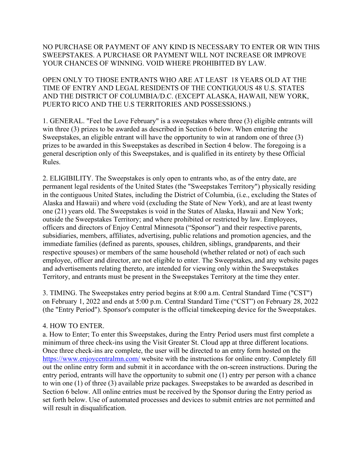## NO PURCHASE OR PAYMENT OF ANY KIND IS NECESSARY TO ENTER OR WIN THIS SWEEPSTAKES. A PURCHASE OR PAYMENT WILL NOT INCREASE OR IMPROVE YOUR CHANCES OF WINNING. VOID WHERE PROHIBITED BY LAW.

OPEN ONLY TO THOSE ENTRANTS WHO ARE AT LEAST 18 YEARS OLD AT THE TIME OF ENTRY AND LEGAL RESIDENTS OF THE CONTIGUOUS 48 U.S. STATES AND THE DISTRICT OF COLUMBIA/D.C. (EXCEPT ALASKA, HAWAII, NEW YORK, PUERTO RICO AND THE U.S TERRITORIES AND POSSESSIONS.)

1. GENERAL. "Feel the Love February" is a sweepstakes where three (3) eligible entrants will win three (3) prizes to be awarded as described in Section 6 below. When entering the Sweepstakes, an eligible entrant will have the opportunity to win at random one of three (3) prizes to be awarded in this Sweepstakes as described in Section 4 below. The foregoing is a general description only of this Sweepstakes, and is qualified in its entirety by these Official Rules.

2. ELIGIBILITY. The Sweepstakes is only open to entrants who, as of the entry date, are permanent legal residents of the United States (the "Sweepstakes Territory") physically residing in the contiguous United States, including the District of Columbia, (i.e., excluding the States of Alaska and Hawaii) and where void (excluding the State of New York), and are at least twenty one (21) years old. The Sweepstakes is void in the States of Alaska, Hawaii and New York; outside the Sweepstakes Territory; and where prohibited or restricted by law. Employees, officers and directors of Enjoy Central Minnesota ("Sponsor") and their respective parents, subsidiaries, members, affiliates, advertising, public relations and promotion agencies, and the immediate families (defined as parents, spouses, children, siblings, grandparents, and their respective spouses) or members of the same household (whether related or not) of each such employee, officer and director, are not eligible to enter. The Sweepstakes, and any website pages and advertisements relating thereto, are intended for viewing only within the Sweepstakes Territory, and entrants must be present in the Sweepstakes Territory at the time they enter.

3. TIMING. The Sweepstakes entry period begins at 8:00 a.m. Central Standard Time ("CST") on February 1, 2022 and ends at 5:00 p.m. Central Standard Time ("CST") on February 28, 2022 (the "Entry Period"). Sponsor's computer is the official timekeeping device for the Sweepstakes.

## 4. HOW TO ENTER.

a. How to Enter; To enter this Sweepstakes, during the Entry Period users must first complete a minimum of three check-ins using the Visit Greater St. Cloud app at three different locations. Once three check-ins are complete, the user will be directed to an entry form hosted on the [https://www.enjoycentralmn.com/](https://www.enjoycentralmn.com/enter-to-win) website with the instructions for online entry. Completely fill out the online entry form and submit it in accordance with the on-screen instructions. During the entry period, entrants will have the opportunity to submit one (1) entry per person with a chance to win one (1) of three (3) available prize packages. Sweepstakes to be awarded as described in Section 6 below. All online entries must be received by the Sponsor during the Entry period as set forth below. Use of automated processes and devices to submit entries are not permitted and will result in disqualification.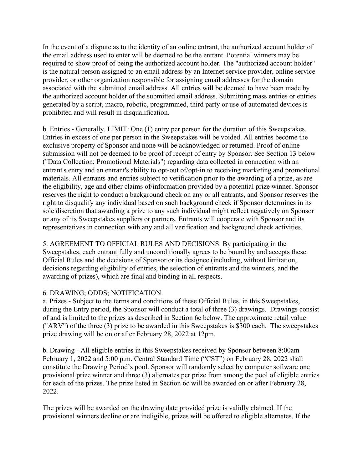In the event of a dispute as to the identity of an online entrant, the authorized account holder of the email address used to enter will be deemed to be the entrant. Potential winners may be required to show proof of being the authorized account holder. The "authorized account holder" is the natural person assigned to an email address by an Internet service provider, online service provider, or other organization responsible for assigning email addresses for the domain associated with the submitted email address. All entries will be deemed to have been made by the authorized account holder of the submitted email address. Submitting mass entries or entries generated by a script, macro, robotic, programmed, third party or use of automated devices is prohibited and will result in disqualification.

b. Entries - Generally. LIMIT: One (1) entry per person for the duration of this Sweepstakes. Entries in excess of one per person in the Sweepstakes will be voided. All entries become the exclusive property of Sponsor and none will be acknowledged or returned. Proof of online submission will not be deemed to be proof of receipt of entry by Sponsor. See Section 13 below ("Data Collection; Promotional Materials") regarding data collected in connection with an entrant's entry and an entrant's ability to opt-out of/opt-in to receiving marketing and promotional materials. All entrants and entries subject to verification prior to the awarding of a prize, as are the eligibility, age and other claims of/information provided by a potential prize winner. Sponsor reserves the right to conduct a background check on any or all entrants, and Sponsor reserves the right to disqualify any individual based on such background check if Sponsor determines in its sole discretion that awarding a prize to any such individual might reflect negatively on Sponsor or any of its Sweepstakes suppliers or partners. Entrants will cooperate with Sponsor and its representatives in connection with any and all verification and background check activities.

5. AGREEMENT TO OFFICIAL RULES AND DECISIONS. By participating in the Sweepstakes, each entrant fully and unconditionally agrees to be bound by and accepts these Official Rules and the decisions of Sponsor or its designee (including, without limitation, decisions regarding eligibility of entries, the selection of entrants and the winners, and the awarding of prizes), which are final and binding in all respects.

## 6. DRAWING; ODDS; NOTIFICATION.

a. Prizes - Subject to the terms and conditions of these Official Rules, in this Sweepstakes, during the Entry period, the Sponsor will conduct a total of three (3) drawings. Drawings consist of and is limited to the prizes as described in Section 6c below. The approximate retail value ("ARV") of the three (3) prize to be awarded in this Sweepstakes is \$300 each. The sweepstakes prize drawing will be on or after February 28, 2022 at 12pm.

b. Drawing - All eligible entries in this Sweepstakes received by Sponsor between 8:00am February 1, 2022 and 5:00 p.m. Central Standard Time ("CST") on February 28, 2022 shall constitute the Drawing Period's pool. Sponsor will randomly select by computer software one provisional prize winner and three (3) alternates per prize from among the pool of eligible entries for each of the prizes. The prize listed in Section 6c will be awarded on or after February 28, 2022.

The prizes will be awarded on the drawing date provided prize is validly claimed. If the provisional winners decline or are ineligible, prizes will be offered to eligible alternates. If the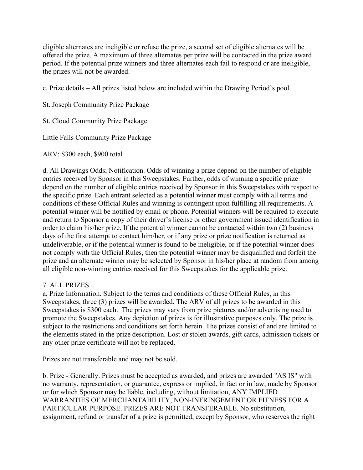eligible alternates are ineligible or refuse the prize, a second set of eligible alternates will be offered the prize. A maximum of three alternates per prize will be contacted in the prize award period. If the potential prize winners and three alternates each fail to respond or are ineligible, the prizes will not be awarded.

c. Prize details – All prizes listed below are included within the Drawing Period's pool.

St. Joseph Community Prize Package

St. Cloud Community Prize Package

Little Falls Community Prize Package

ARV: \$300 each, \$900 total

d. All Drawings Odds; Notification. Odds of winning a prize depend on the number of eligible entries received by Sponsor in this Sweepstakes. Further, odds of winning a specific prize depend on the number of eligible entries received by Sponsor in this Sweepstakes with respect to the specific prize. Each entrant selected as a potential winner must comply with all terms and conditions of these Official Rules and winning is contingent upon fulfilling all requirements. A potential winner will be notified by email or phone. Potential winners will be required to execute and return to Sponsor a copy of their driver's license or other government issued identification in order to claim his/her prize. If the potential winner cannot be contacted within two (2) business days of the first attempt to contact him/her, or if any prize or prize notification is returned as undeliverable, or if the potential winner is found to be ineligible, or if the potential winner does not comply with the Official Rules, then the potential winner may be disqualified and forfeit the prize and an alternate winner may be selected by Sponsor in his/her place at random from among all eligible non-winning entries received for this Sweepstakes for the applicable prize.

## 7. ALL PRIZES.

a. Prize Information. Subject to the terms and conditions of these Official Rules, in this Sweepstakes, three (3) prizes will be awarded. The ARV of all prizes to be awarded in this Sweepstakes is \$300 each. The prizes may vary from prize pictures and/or advertising used to promote the Sweepstakes. Any depiction of prizes is for illustrative purposes only. The prize is subject to the restrictions and conditions set forth herein. The prizes consist of and are limited to the elements stated in the prize description. Lost or stolen awards, gift cards, admission tickets or any other prize certificate will not be replaced.

Prizes are not transferable and may not be sold.

b. Prize - Generally. Prizes must be accepted as awarded, and prizes are awarded "AS IS" with no warranty, representation, or guarantee, express or implied, in fact or in law, made by Sponsor or for which Sponsor may be liable, including, without limitation, ANY IMPLIED WARRANTIES OF MERCHANTABILITY, NON-INFRINGEMENT OR FITNESS FOR A PARTICULAR PURPOSE. PRIZES ARE NOT TRANSFERABLE. No substitution, assignment, refund or transfer of a prize is permitted, except by Sponsor, who reserves the right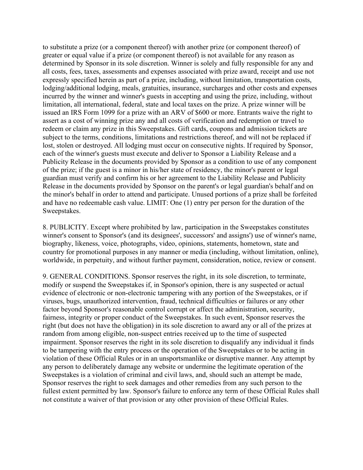to substitute a prize (or a component thereof) with another prize (or component thereof) of greater or equal value if a prize (or component thereof) is not available for any reason as determined by Sponsor in its sole discretion. Winner is solely and fully responsible for any and all costs, fees, taxes, assessments and expenses associated with prize award, receipt and use not expressly specified herein as part of a prize, including, without limitation, transportation costs, lodging/additional lodging, meals, gratuities, insurance, surcharges and other costs and expenses incurred by the winner and winner's guests in accepting and using the prize, including, without limitation, all international, federal, state and local taxes on the prize. A prize winner will be issued an IRS Form 1099 for a prize with an ARV of \$600 or more. Entrants waive the right to assert as a cost of winning prize any and all costs of verification and redemption or travel to redeem or claim any prize in this Sweepstakes. Gift cards, coupons and admission tickets are subject to the terms, conditions, limitations and restrictions thereof, and will not be replaced if lost, stolen or destroyed. All lodging must occur on consecutive nights. If required by Sponsor, each of the winner's guests must execute and deliver to Sponsor a Liability Release and a Publicity Release in the documents provided by Sponsor as a condition to use of any component of the prize; if the guest is a minor in his/her state of residency, the minor's parent or legal guardian must verify and confirm his or her agreement to the Liability Release and Publicity Release in the documents provided by Sponsor on the parent's or legal guardian's behalf and on the minor's behalf in order to attend and participate. Unused portions of a prize shall be forfeited and have no redeemable cash value. LIMIT: One (1) entry per person for the duration of the Sweepstakes.

8. PUBLICITY. Except where prohibited by law, participation in the Sweepstakes constitutes winner's consent to Sponsor's (and its designees', successors' and assigns') use of winner's name, biography, likeness, voice, photographs, video, opinions, statements, hometown, state and country for promotional purposes in any manner or media (including, without limitation, online), worldwide, in perpetuity, and without further payment, consideration, notice, review or consent.

9. GENERAL CONDITIONS. Sponsor reserves the right, in its sole discretion, to terminate, modify or suspend the Sweepstakes if, in Sponsor's opinion, there is any suspected or actual evidence of electronic or non-electronic tampering with any portion of the Sweepstakes, or if viruses, bugs, unauthorized intervention, fraud, technical difficulties or failures or any other factor beyond Sponsor's reasonable control corrupt or affect the administration, security, fairness, integrity or proper conduct of the Sweepstakes. In such event, Sponsor reserves the right (but does not have the obligation) in its sole discretion to award any or all of the prizes at random from among eligible, non-suspect entries received up to the time of suspected impairment. Sponsor reserves the right in its sole discretion to disqualify any individual it finds to be tampering with the entry process or the operation of the Sweepstakes or to be acting in violation of these Official Rules or in an unsportsmanlike or disruptive manner. Any attempt by any person to deliberately damage any website or undermine the legitimate operation of the Sweepstakes is a violation of criminal and civil laws, and, should such an attempt be made, Sponsor reserves the right to seek damages and other remedies from any such person to the fullest extent permitted by law. Sponsor's failure to enforce any term of these Official Rules shall not constitute a waiver of that provision or any other provision of these Official Rules.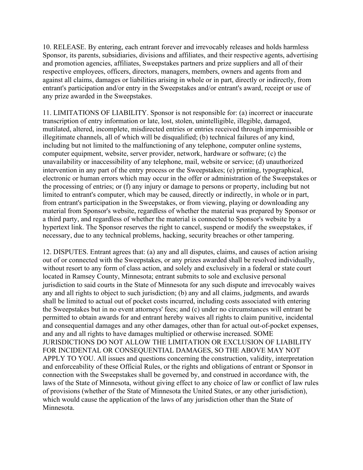10. RELEASE. By entering, each entrant forever and irrevocably releases and holds harmless Sponsor, its parents, subsidiaries, divisions and affiliates, and their respective agents, advertising and promotion agencies, affiliates, Sweepstakes partners and prize suppliers and all of their respective employees, officers, directors, managers, members, owners and agents from and against all claims, damages or liabilities arising in whole or in part, directly or indirectly, from entrant's participation and/or entry in the Sweepstakes and/or entrant's award, receipt or use of any prize awarded in the Sweepstakes.

11. LIMITATIONS OF LIABILITY. Sponsor is not responsible for: (a) incorrect or inaccurate transcription of entry information or late, lost, stolen, unintelligible, illegible, damaged, mutilated, altered, incomplete, misdirected entries or entries received through impermissible or illegitimate channels, all of which will be disqualified; (b) technical failures of any kind, including but not limited to the malfunctioning of any telephone, computer online systems, computer equipment, website, server provider, network, hardware or software; (c) the unavailability or inaccessibility of any telephone, mail, website or service; (d) unauthorized intervention in any part of the entry process or the Sweepstakes; (e) printing, typographical, electronic or human errors which may occur in the offer or administration of the Sweepstakes or the processing of entries; or (f) any injury or damage to persons or property, including but not limited to entrant's computer, which may be caused, directly or indirectly, in whole or in part, from entrant's participation in the Sweepstakes, or from viewing, playing or downloading any material from Sponsor's website, regardless of whether the material was prepared by Sponsor or a third party, and regardless of whether the material is connected to Sponsor's website by a hypertext link. The Sponsor reserves the right to cancel, suspend or modify the sweepstakes, if necessary, due to any technical problems, hacking, security breaches or other tampering.

12. DISPUTES. Entrant agrees that: (a) any and all disputes, claims, and causes of action arising out of or connected with the Sweepstakes, or any prizes awarded shall be resolved individually, without resort to any form of class action, and solely and exclusively in a federal or state court located in Ramsey County, Minnesota; entrant submits to sole and exclusive personal jurisdiction to said courts in the State of Minnesota for any such dispute and irrevocably waives any and all rights to object to such jurisdiction; (b) any and all claims, judgments, and awards shall be limited to actual out of pocket costs incurred, including costs associated with entering the Sweepstakes but in no event attorneys' fees; and (c) under no circumstances will entrant be permitted to obtain awards for and entrant hereby waives all rights to claim punitive, incidental and consequential damages and any other damages, other than for actual out-of-pocket expenses, and any and all rights to have damages multiplied or otherwise increased. SOME JURISDICTIONS DO NOT ALLOW THE LIMITATION OR EXCLUSION OF LIABILITY FOR INCIDENTAL OR CONSEQUENTIAL DAMAGES, SO THE ABOVE MAY NOT APPLY TO YOU. All issues and questions concerning the construction, validity, interpretation and enforceability of these Official Rules, or the rights and obligations of entrant or Sponsor in connection with the Sweepstakes shall be governed by, and construed in accordance with, the laws of the State of Minnesota, without giving effect to any choice of law or conflict of law rules of provisions (whether of the State of Minnesota the United States, or any other jurisdiction), which would cause the application of the laws of any jurisdiction other than the State of Minnesota.